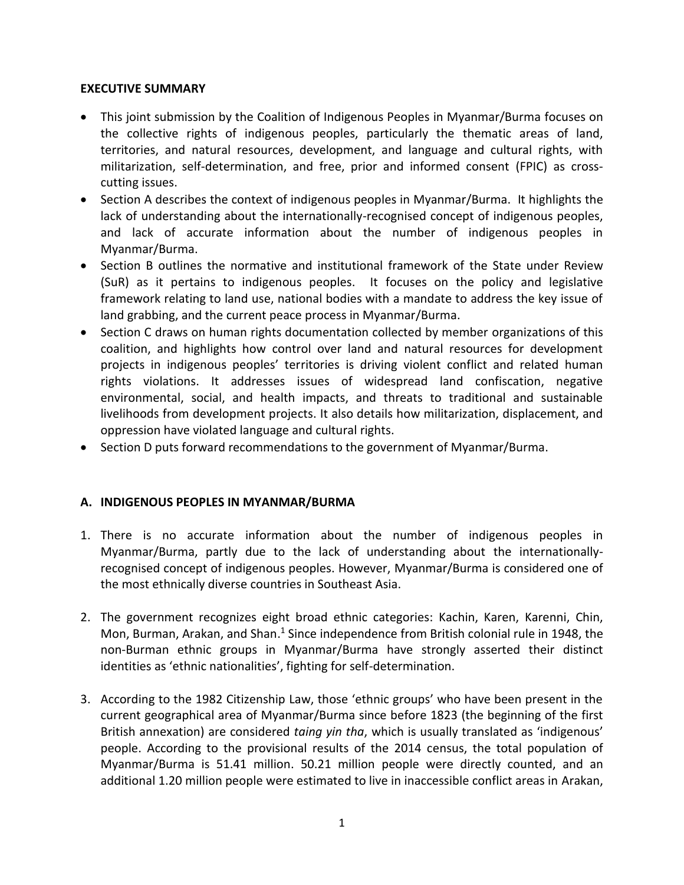## **EXECUTIVE SUMMARY**

- This joint submission by the Coalition of Indigenous Peoples in Myanmar/Burma focuses on the collective rights of indigenous peoples, particularly the thematic areas of land, territories, and natural resources, development, and language and cultural rights, with militarization, self-determination, and free, prior and informed consent (FPIC) as crosscutting issues.
- Section A describes the context of indigenous peoples in Myanmar/Burma. It highlights the lack of understanding about the internationally-recognised concept of indigenous peoples, and lack of accurate information about the number of indigenous peoples in Myanmar/Burma.
- Section B outlines the normative and institutional framework of the State under Review (SuR) as it pertains to indigenous peoples. It focuses on the policy and legislative framework relating to land use, national bodies with a mandate to address the key issue of land grabbing, and the current peace process in Myanmar/Burma.
- Section C draws on human rights documentation collected by member organizations of this coalition, and highlights how control over land and natural resources for development projects in indigenous peoples' territories is driving violent conflict and related human rights violations. It addresses issues of widespread land confiscation, negative environmental, social, and health impacts, and threats to traditional and sustainable livelihoods from development projects. It also details how militarization, displacement, and oppression have violated language and cultural rights.
- Section D puts forward recommendations to the government of Myanmar/Burma.

# **A. INDIGENOUS PEOPLES IN MYANMAR/BURMA**

- 1. There is no accurate information about the number of indigenous peoples in Myanmar/Burma, partly due to the lack of understanding about the internationallyrecognised concept of indigenous peoples. However, Myanmar/Burma is considered one of the most ethnically diverse countries in Southeast Asia.
- 2. The government recognizes eight broad ethnic categories: Kachin, Karen, Karenni, Chin, Mon, Burman, Arakan, and Shan.<sup>1</sup> Since independence from British colonial rule in 1948, the non-Burman ethnic groups in Myanmar/Burma have strongly asserted their distinct identities as 'ethnic nationalities', fighting for self-determination.
- 3. According to the 1982 Citizenship Law, those 'ethnic groups' who have been present in the current geographical area of Myanmar/Burma since before 1823 (the beginning of the first British annexation) are considered *taing yin tha*, which is usually translated as 'indigenous' people. According to the provisional results of the 2014 census, the total population of Myanmar/Burma is 51.41 million. 50.21 million people were directly counted, and an additional 1.20 million people were estimated to live in inaccessible conflict areas in Arakan,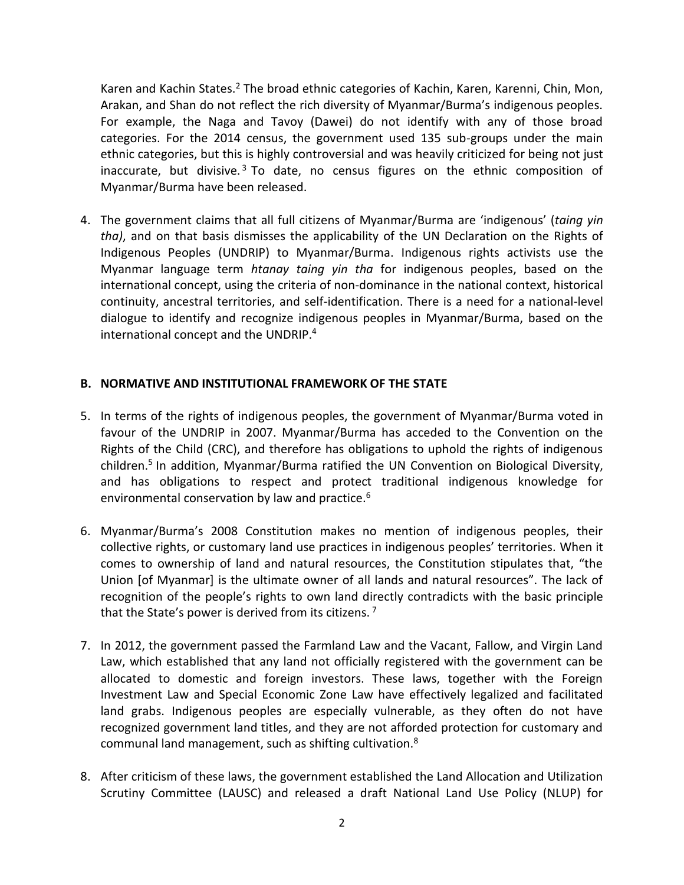Karen and Kachin States.<sup>2</sup> The broad ethnic categories of Kachin, Karen, Karenni, Chin, Mon, Arakan, and Shan do not reflect the rich diversity of Myanmar/Burma's indigenous peoples. For example, the Naga and Tavoy (Dawei) do not identify with any of those broad categories. For the 2014 census, the government used 135 sub-groups under the main ethnic categories, but this is highly controversial and was heavily criticized for being not just inaccurate, but divisive.<sup>3</sup> To date, no census figures on the ethnic composition of Myanmar/Burma have been released.

4. The government claims that all full citizens of Myanmar/Burma are 'indigenous' (*taing yin tha)*, and on that basis dismisses the applicability of the UN Declaration on the Rights of Indigenous Peoples (UNDRIP) to Myanmar/Burma. Indigenous rights activists use the Myanmar language term *htanay taing yin tha* for indigenous peoples, based on the international concept, using the criteria of non-dominance in the national context, historical continuity, ancestral territories, and self-identification. There is a need for a national-level dialogue to identify and recognize indigenous peoples in Myanmar/Burma, based on the international concept and the UNDRIP.<sup>4</sup>

# **B. NORMATIVE AND INSTITUTIONAL FRAMEWORK OF THE STATE**

- 5. In terms of the rights of indigenous peoples, the government of Myanmar/Burma voted in favour of the UNDRIP in 2007. Myanmar/Burma has acceded to the Convention on the Rights of the Child (CRC), and therefore has obligations to uphold the rights of indigenous children.<sup>5</sup> In addition, Myanmar/Burma ratified the UN Convention on Biological Diversity, and has obligations to respect and protect traditional indigenous knowledge for environmental conservation by law and practice.<sup>6</sup>
- 6. Myanmar/Burma's 2008 Constitution makes no mention of indigenous peoples, their collective rights, or customary land use practices in indigenous peoples' territories. When it comes to ownership of land and natural resources, the Constitution stipulates that, "the Union [of Myanmar] is the ultimate owner of all lands and natural resources". The lack of recognition of the people's rights to own land directly contradicts with the basic principle that the State's power is derived from its citizens.<sup>7</sup>
- 7. In 2012, the government passed the Farmland Law and the Vacant, Fallow, and Virgin Land Law, which established that any land not officially registered with the government can be allocated to domestic and foreign investors. These laws, together with the Foreign Investment Law and Special Economic Zone Law have effectively legalized and facilitated land grabs. Indigenous peoples are especially vulnerable, as they often do not have recognized government land titles, and they are not afforded protection for customary and communal land management, such as shifting cultivation.<sup>8</sup>
- 8. After criticism of these laws, the government established the Land Allocation and Utilization Scrutiny Committee (LAUSC) and released a draft National Land Use Policy (NLUP) for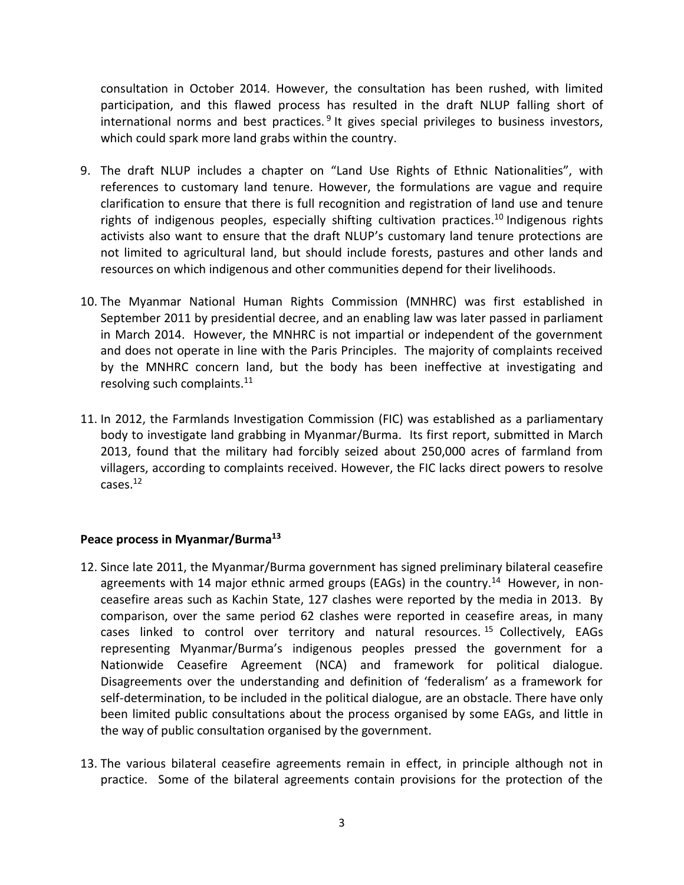consultation in October 2014. However, the consultation has been rushed, with limited participation, and this flawed process has resulted in the draft NLUP falling short of international norms and best practices.<sup>9</sup> It gives special privileges to business investors, which could spark more land grabs within the country.

- 9. The draft NLUP includes a chapter on "Land Use Rights of Ethnic Nationalities", with references to customary land tenure. However, the formulations are vague and require clarification to ensure that there is full recognition and registration of land use and tenure rights of indigenous peoples, especially shifting cultivation practices.<sup>10</sup> Indigenous rights activists also want to ensure that the draft NLUP's customary land tenure protections are not limited to agricultural land, but should include forests, pastures and other lands and resources on which indigenous and other communities depend for their livelihoods.
- 10. The Myanmar National Human Rights Commission (MNHRC) was first established in September 2011 by presidential decree, and an enabling law was later passed in parliament in March 2014. However, the MNHRC is not impartial or independent of the government and does not operate in line with the Paris Principles. The majority of complaints received by the MNHRC concern land, but the body has been ineffective at investigating and resolving such complaints.<sup>11</sup>
- 11. In 2012, the Farmlands Investigation Commission (FIC) was established as a parliamentary body to investigate land grabbing in Myanmar/Burma. Its first report, submitted in March 2013, found that the military had forcibly seized about 250,000 acres of farmland from villagers, according to complaints received. However, the FIC lacks direct powers to resolve cases. 12

### **Peace process in Myanmar/Burma<sup>13</sup>**

- 12. Since late 2011, the Myanmar/Burma government has signed preliminary bilateral ceasefire agreements with 14 major ethnic armed groups (EAGs) in the country.<sup>14</sup> However, in nonceasefire areas such as Kachin State, 127 clashes were reported by the media in 2013. By comparison, over the same period 62 clashes were reported in ceasefire areas, in many cases linked to control over territory and natural resources. <sup>15</sup> Collectively, EAGs representing Myanmar/Burma's indigenous peoples pressed the government for a Nationwide Ceasefire Agreement (NCA) and framework for political dialogue. Disagreements over the understanding and definition of 'federalism' as a framework for self-determination, to be included in the political dialogue, are an obstacle. There have only been limited public consultations about the process organised by some EAGs, and little in the way of public consultation organised by the government.
- 13. The various bilateral ceasefire agreements remain in effect, in principle although not in practice. Some of the bilateral agreements contain provisions for the protection of the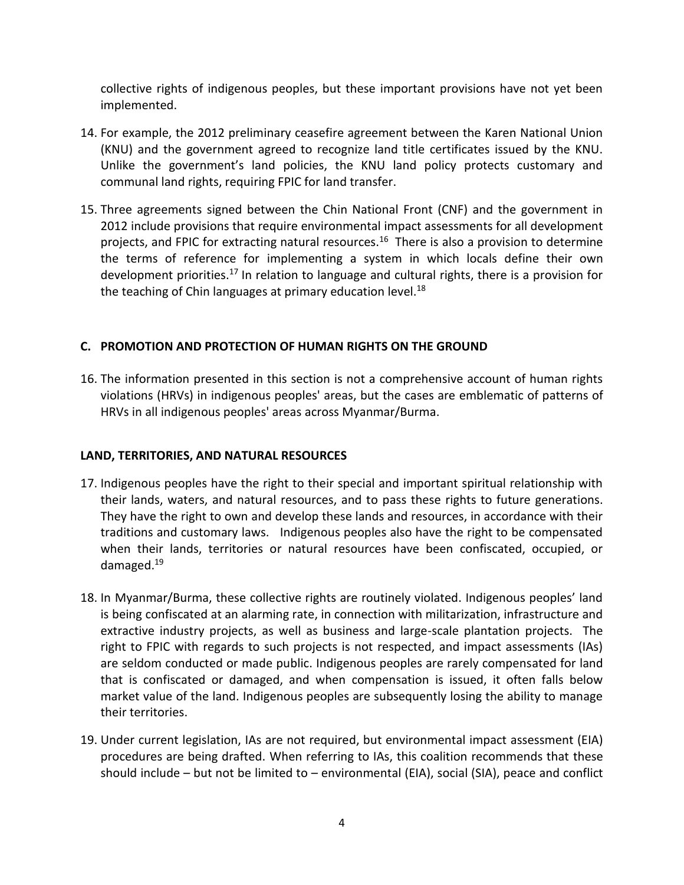collective rights of indigenous peoples, but these important provisions have not yet been implemented.

- 14. For example, the 2012 preliminary ceasefire agreement between the Karen National Union (KNU) and the government agreed to recognize land title certificates issued by the KNU. Unlike the government's land policies, the KNU land policy protects customary and communal land rights, requiring FPIC for land transfer.
- 15. Three agreements signed between the Chin National Front (CNF) and the government in 2012 include provisions that require environmental impact assessments for all development projects, and FPIC for extracting natural resources.<sup>16</sup> There is also a provision to determine the terms of reference for implementing a system in which locals define their own development priorities.<sup>17</sup> In relation to language and cultural rights, there is a provision for the teaching of Chin languages at primary education level.<sup>18</sup>

# **C. PROMOTION AND PROTECTION OF HUMAN RIGHTS ON THE GROUND**

16. The information presented in this section is not a comprehensive account of human rights violations (HRVs) in indigenous peoples' areas, but the cases are emblematic of patterns of HRVs in all indigenous peoples' areas across Myanmar/Burma.

### **LAND, TERRITORIES, AND NATURAL RESOURCES**

- 17. Indigenous peoples have the right to their special and important spiritual relationship with their lands, waters, and natural resources, and to pass these rights to future generations. They have the right to own and develop these lands and resources, in accordance with their traditions and customary laws. Indigenous peoples also have the right to be compensated when their lands, territories or natural resources have been confiscated, occupied, or damaged.<sup>19</sup>
- 18. In Myanmar/Burma, these collective rights are routinely violated. Indigenous peoples' land is being confiscated at an alarming rate, in connection with militarization, infrastructure and extractive industry projects, as well as business and large-scale plantation projects. The right to FPIC with regards to such projects is not respected, and impact assessments (IAs) are seldom conducted or made public. Indigenous peoples are rarely compensated for land that is confiscated or damaged, and when compensation is issued, it often falls below market value of the land. Indigenous peoples are subsequently losing the ability to manage their territories.
- 19. Under current legislation, IAs are not required, but environmental impact assessment (EIA) procedures are being drafted. When referring to IAs, this coalition recommends that these should include – but not be limited to – environmental (EIA), social (SIA), peace and conflict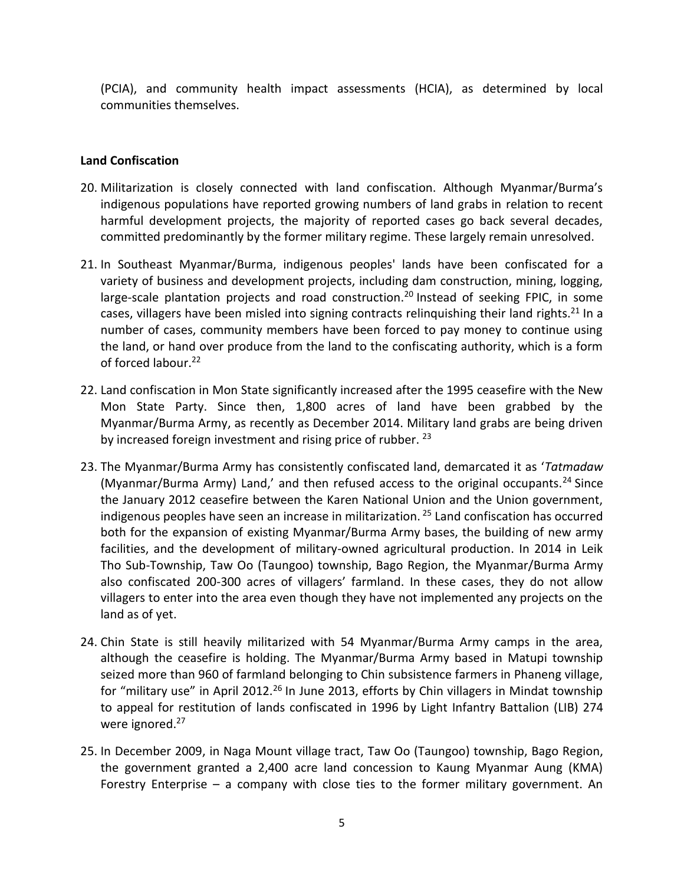(PCIA), and community health impact assessments (HCIA), as determined by local communities themselves.

## **Land Confiscation**

- 20. Militarization is closely connected with land confiscation. Although Myanmar/Burma's indigenous populations have reported growing numbers of land grabs in relation to recent harmful development projects, the majority of reported cases go back several decades, committed predominantly by the former military regime. These largely remain unresolved.
- 21. In Southeast Myanmar/Burma, indigenous peoples' lands have been confiscated for a variety of business and development projects, including dam construction, mining, logging, large-scale plantation projects and road construction.<sup>20</sup> Instead of seeking FPIC, in some cases, villagers have been misled into signing contracts relinquishing their land rights.<sup>21</sup> In a number of cases, community members have been forced to pay money to continue using the land, or hand over produce from the land to the confiscating authority, which is a form of forced labour.<sup>22</sup>
- 22. Land confiscation in Mon State significantly increased after the 1995 ceasefire with the New Mon State Party. Since then, 1,800 acres of land have been grabbed by the Myanmar/Burma Army, as recently as December 2014. Military land grabs are being driven by increased foreign investment and rising price of rubber.  $23$
- 23. The Myanmar/Burma Army has consistently confiscated land, demarcated it as '*Tatmadaw* (Myanmar/Burma Army) Land,' and then refused access to the original occupants.<sup>24</sup> Since the January 2012 ceasefire between the Karen National Union and the Union government, indigenous peoples have seen an increase in militarization.<sup>25</sup> Land confiscation has occurred both for the expansion of existing Myanmar/Burma Army bases, the building of new army facilities, and the development of military-owned agricultural production. In 2014 in Leik Tho Sub-Township, Taw Oo (Taungoo) township, Bago Region, the Myanmar/Burma Army also confiscated 200-300 acres of villagers' farmland. In these cases, they do not allow villagers to enter into the area even though they have not implemented any projects on the land as of yet.
- 24. Chin State is still heavily militarized with 54 Myanmar/Burma Army camps in the area, although the ceasefire is holding. The Myanmar/Burma Army based in Matupi township seized more than 960 of farmland belonging to Chin subsistence farmers in Phaneng village, for "military use" in April 2012.<sup>26</sup> In June 2013, efforts by Chin villagers in Mindat township to appeal for restitution of lands confiscated in 1996 by Light Infantry Battalion (LIB) 274 were ignored.<sup>27</sup>
- 25. In December 2009, in Naga Mount village tract, Taw Oo (Taungoo) township, Bago Region, the government granted a 2,400 acre land concession to Kaung Myanmar Aung (KMA) Forestry Enterprise – a company with close ties to the former military government. An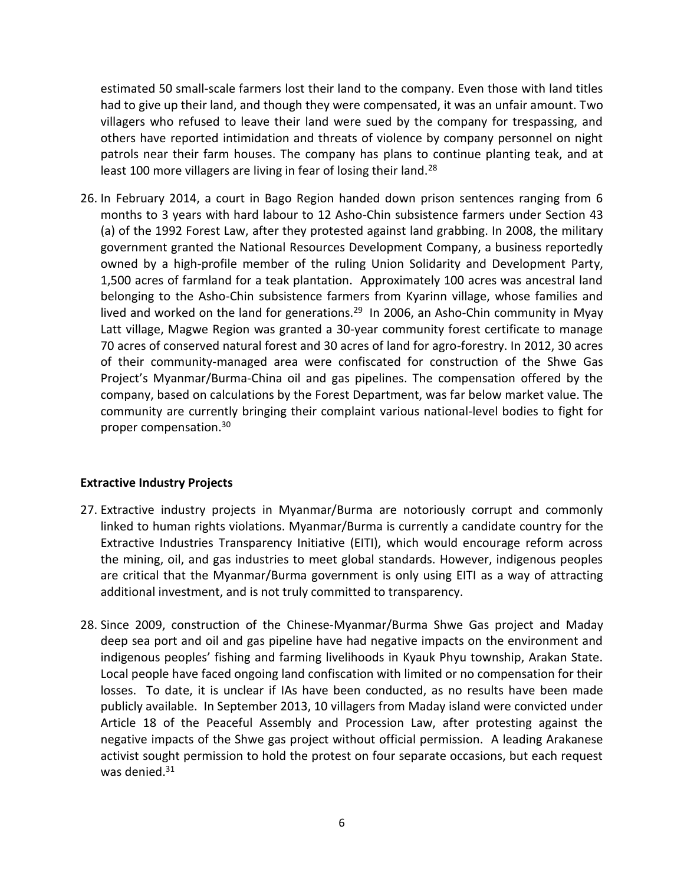estimated 50 small-scale farmers lost their land to the company. Even those with land titles had to give up their land, and though they were compensated, it was an unfair amount. Two villagers who refused to leave their land were sued by the company for trespassing, and others have reported intimidation and threats of violence by company personnel on night patrols near their farm houses. The company has plans to continue planting teak, and at least 100 more villagers are living in fear of losing their land.<sup>28</sup>

26. In February 2014, a court in Bago Region handed down prison sentences ranging from 6 months to 3 years with hard labour to 12 Asho-Chin subsistence farmers under Section 43 (a) of the 1992 Forest Law, after they protested against land grabbing. In 2008, the military government granted the National Resources Development Company, a business reportedly owned by a high-profile member of the ruling Union Solidarity and Development Party, 1,500 acres of farmland for a teak plantation. Approximately 100 acres was ancestral land belonging to the Asho-Chin subsistence farmers from Kyarinn village, whose families and lived and worked on the land for generations.<sup>29</sup> In 2006, an Asho-Chin community in Myay Latt village, Magwe Region was granted a 30-year community forest certificate to manage 70 acres of conserved natural forest and 30 acres of land for agro-forestry. In 2012, 30 acres of their community-managed area were confiscated for construction of the Shwe Gas Project's Myanmar/Burma-China oil and gas pipelines. The compensation offered by the company, based on calculations by the Forest Department, was far below market value. The community are currently bringing their complaint various national-level bodies to fight for proper compensation.<sup>30</sup>

### **Extractive Industry Projects**

- 27. Extractive industry projects in Myanmar/Burma are notoriously corrupt and commonly linked to human rights violations. Myanmar/Burma is currently a candidate country for the Extractive Industries Transparency Initiative (EITI), which would encourage reform across the mining, oil, and gas industries to meet global standards. However, indigenous peoples are critical that the Myanmar/Burma government is only using EITI as a way of attracting additional investment, and is not truly committed to transparency.
- 28. Since 2009, construction of the Chinese-Myanmar/Burma Shwe Gas project and Maday deep sea port and oil and gas pipeline have had negative impacts on the environment and indigenous peoples' fishing and farming livelihoods in Kyauk Phyu township, Arakan State. Local people have faced ongoing land confiscation with limited or no compensation for their losses. To date, it is unclear if IAs have been conducted, as no results have been made publicly available. In September 2013, 10 villagers from Maday island were convicted under Article 18 of the Peaceful Assembly and Procession Law, after protesting against the negative impacts of the Shwe gas project without official permission. A leading Arakanese activist sought permission to hold the protest on four separate occasions, but each request was denied. $31$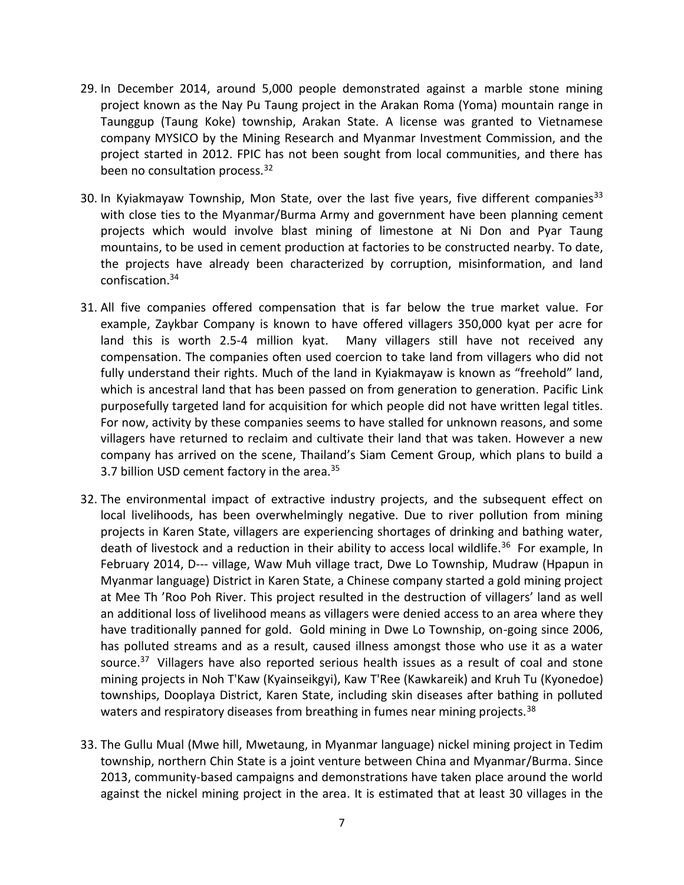- 29. In December 2014, around 5,000 people demonstrated against a marble stone mining project known as the Nay Pu Taung project in the Arakan Roma (Yoma) mountain range in Taunggup (Taung Koke) township, Arakan State. A license was granted to Vietnamese company MYSICO by the Mining Research and Myanmar Investment Commission, and the project started in 2012. FPIC has not been sought from local communities, and there has been no consultation process.<sup>32</sup>
- 30. In Kyiakmayaw Township, Mon State, over the last five years, five different companies<sup>33</sup> with close ties to the Myanmar/Burma Army and government have been planning cement projects which would involve blast mining of limestone at Ni Don and Pyar Taung mountains, to be used in cement production at factories to be constructed nearby. To date, the projects have already been characterized by corruption, misinformation, and land confiscation.<sup>34</sup>
- 31. All five companies offered compensation that is far below the true market value. For example, Zaykbar Company is known to have offered villagers 350,000 kyat per acre for land this is worth 2.5-4 million kyat. Many villagers still have not received any compensation. The companies often used coercion to take land from villagers who did not fully understand their rights. Much of the land in Kyiakmayaw is known as "freehold" land, which is ancestral land that has been passed on from generation to generation. Pacific Link purposefully targeted land for acquisition for which people did not have written legal titles. For now, activity by these companies seems to have stalled for unknown reasons, and some villagers have returned to reclaim and cultivate their land that was taken. However a new company has arrived on the scene, Thailand's Siam Cement Group, which plans to build a 3.7 billion USD cement factory in the area.<sup>35</sup>
- 32. The environmental impact of extractive industry projects, and the subsequent effect on local livelihoods, has been overwhelmingly negative. Due to river pollution from mining projects in Karen State, villagers are experiencing shortages of drinking and bathing water, death of livestock and a reduction in their ability to access local wildlife.<sup>36</sup> For example, In February 2014, D--- village, Waw Muh village tract, Dwe Lo Township, Mudraw (Hpapun in Myanmar language) District in Karen State, a Chinese company started a gold mining project at Mee Th 'Roo Poh River. This project resulted in the destruction of villagers' land as well an additional loss of livelihood means as villagers were denied access to an area where they have traditionally panned for gold. Gold mining in Dwe Lo Township, on-going since 2006, has polluted streams and as a result, caused illness amongst those who use it as a water source.<sup>37</sup> Villagers have also reported serious health issues as a result of coal and stone mining projects in Noh T'Kaw (Kyainseikgyi), Kaw T'Ree (Kawkareik) and Kruh Tu (Kyonedoe) townships, Dooplaya District, Karen State, including skin diseases after bathing in polluted waters and respiratory diseases from breathing in fumes near mining projects.<sup>38</sup>
- 33. The Gullu Mual (Mwe hill, Mwetaung, in Myanmar language) nickel mining project in Tedim township, northern Chin State is a joint venture between China and Myanmar/Burma. Since 2013, community-based campaigns and demonstrations have taken place around the world against the nickel mining project in the area. It is estimated that at least 30 villages in the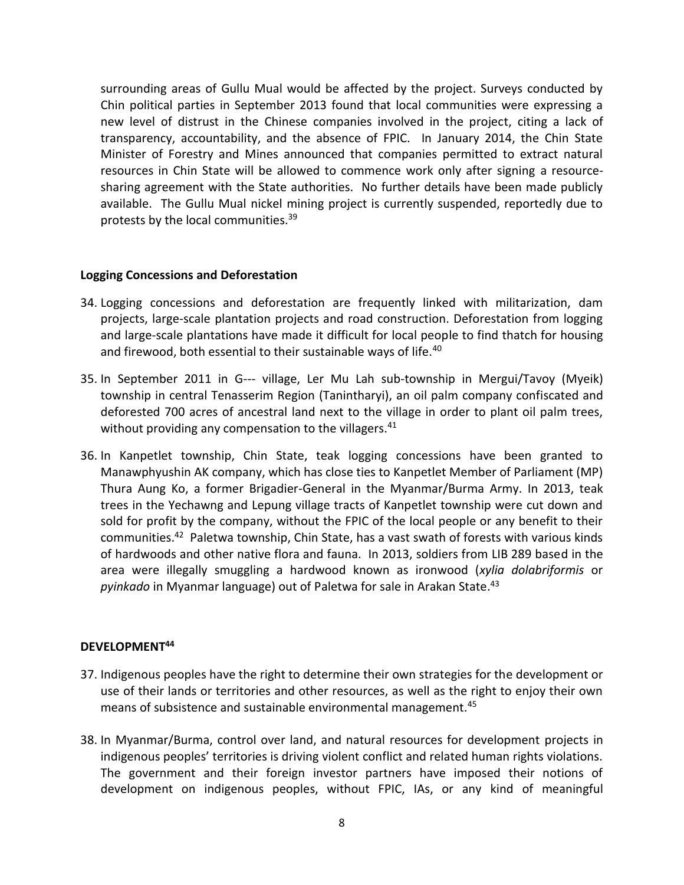surrounding areas of Gullu Mual would be affected by the project. Surveys conducted by Chin political parties in September 2013 found that local communities were expressing a new level of distrust in the Chinese companies involved in the project, citing a lack of transparency, accountability, and the absence of FPIC. In January 2014, the Chin State Minister of Forestry and Mines announced that companies permitted to extract natural resources in Chin State will be allowed to commence work only after signing a resourcesharing agreement with the State authorities. No further details have been made publicly available. The Gullu Mual nickel mining project is currently suspended, reportedly due to protests by the local communities.<sup>39</sup>

### **Logging Concessions and Deforestation**

- 34. Logging concessions and deforestation are frequently linked with militarization, dam projects, large-scale plantation projects and road construction. Deforestation from logging and large-scale plantations have made it difficult for local people to find thatch for housing and firewood, both essential to their sustainable ways of life.<sup>40</sup>
- 35. In September 2011 in G--- village, Ler Mu Lah sub-township in Mergui/Tavoy (Myeik) township in central Tenasserim Region (Tanintharyi), an oil palm company confiscated and deforested 700 acres of ancestral land next to the village in order to plant oil palm trees, without providing any compensation to the villagers.<sup>41</sup>
- 36. In Kanpetlet township, Chin State, teak logging concessions have been granted to Manawphyushin AK company, which has close ties to Kanpetlet Member of Parliament (MP) Thura Aung Ko, a former Brigadier-General in the Myanmar/Burma Army. In 2013, teak trees in the Yechawng and Lepung village tracts of Kanpetlet township were cut down and sold for profit by the company, without the FPIC of the local people or any benefit to their communities.<sup>42</sup> Paletwa township, Chin State, has a vast swath of forests with various kinds of hardwoods and other native flora and fauna. In 2013, soldiers from LIB 289 based in the area were illegally smuggling a hardwood known as ironwood (*xylia dolabriformis* or *pyinkado* in Myanmar language) out of Paletwa for sale in Arakan State. 43

#### **DEVELOPMENT<sup>44</sup>**

- 37. Indigenous peoples have the right to determine their own strategies for the development or use of their lands or territories and other resources, as well as the right to enjoy their own means of subsistence and sustainable environmental management.<sup>45</sup>
- 38. In Myanmar/Burma, control over land, and natural resources for development projects in indigenous peoples' territories is driving violent conflict and related human rights violations. The government and their foreign investor partners have imposed their notions of development on indigenous peoples, without FPIC, IAs, or any kind of meaningful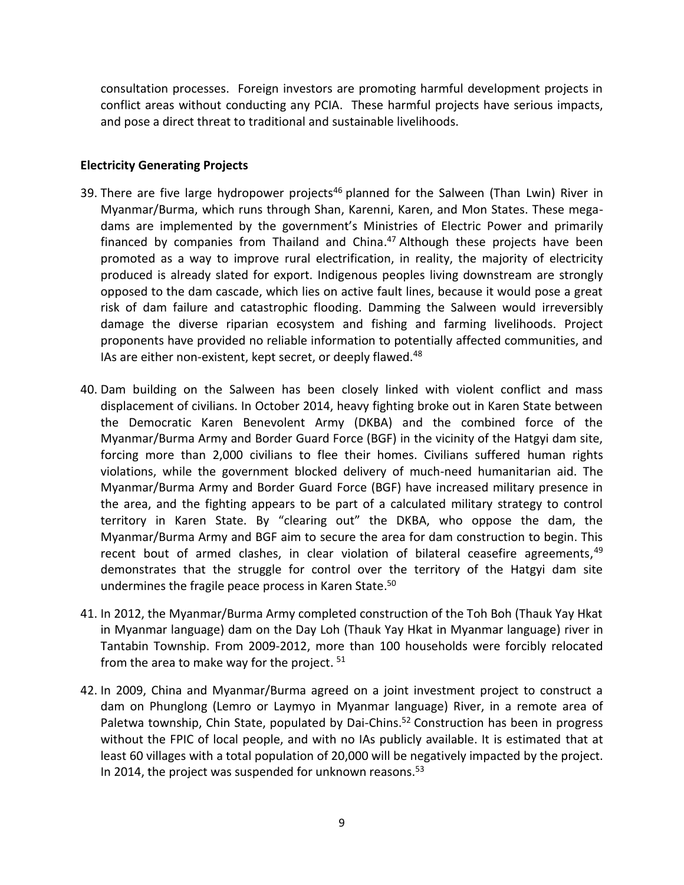consultation processes. Foreign investors are promoting harmful development projects in conflict areas without conducting any PCIA. These harmful projects have serious impacts, and pose a direct threat to traditional and sustainable livelihoods.

### **Electricity Generating Projects**

- 39. There are five large hydropower projects<sup>46</sup> planned for the Salween (Than Lwin) River in Myanmar/Burma, which runs through Shan, Karenni, Karen, and Mon States. These megadams are implemented by the government's Ministries of Electric Power and primarily financed by companies from Thailand and China. <sup>47</sup> Although these projects have been promoted as a way to improve rural electrification, in reality, the majority of electricity produced is already slated for export. Indigenous peoples living downstream are strongly opposed to the dam cascade, which lies on active fault lines, because it would pose a great risk of dam failure and catastrophic flooding. Damming the Salween would irreversibly damage the diverse riparian ecosystem and fishing and farming livelihoods. Project proponents have provided no reliable information to potentially affected communities, and IAs are either non-existent, kept secret, or deeply flawed.<sup>48</sup>
- 40. Dam building on the Salween has been closely linked with violent conflict and mass displacement of civilians. In October 2014, heavy fighting broke out in Karen State between the Democratic Karen Benevolent Army (DKBA) and the combined force of the Myanmar/Burma Army and Border Guard Force (BGF) in the vicinity of the Hatgyi dam site, forcing more than 2,000 civilians to flee their homes. Civilians suffered human rights violations, while the government blocked delivery of much-need humanitarian aid. The Myanmar/Burma Army and Border Guard Force (BGF) have increased military presence in the area, and the fighting appears to be part of a calculated military strategy to control territory in Karen State. By "clearing out" the DKBA, who oppose the dam, the Myanmar/Burma Army and BGF aim to secure the area for dam construction to begin. This recent bout of armed clashes, in clear violation of bilateral ceasefire agreements,<sup>49</sup> demonstrates that the struggle for control over the territory of the Hatgyi dam site undermines the fragile peace process in Karen State. 50
- 41. In 2012, the Myanmar/Burma Army completed construction of the Toh Boh (Thauk Yay Hkat in Myanmar language) dam on the Day Loh (Thauk Yay Hkat in Myanmar language) river in Tantabin Township. From 2009-2012, more than 100 households were forcibly relocated from the area to make way for the project. <sup>51</sup>
- 42. In 2009, China and Myanmar/Burma agreed on a joint investment project to construct a dam on Phunglong (Lemro or Laymyo in Myanmar language) River, in a remote area of Paletwa township, Chin State, populated by Dai-Chins.<sup>52</sup> Construction has been in progress without the FPIC of local people, and with no IAs publicly available. It is estimated that at least 60 villages with a total population of 20,000 will be negatively impacted by the project. In 2014, the project was suspended for unknown reasons. $53$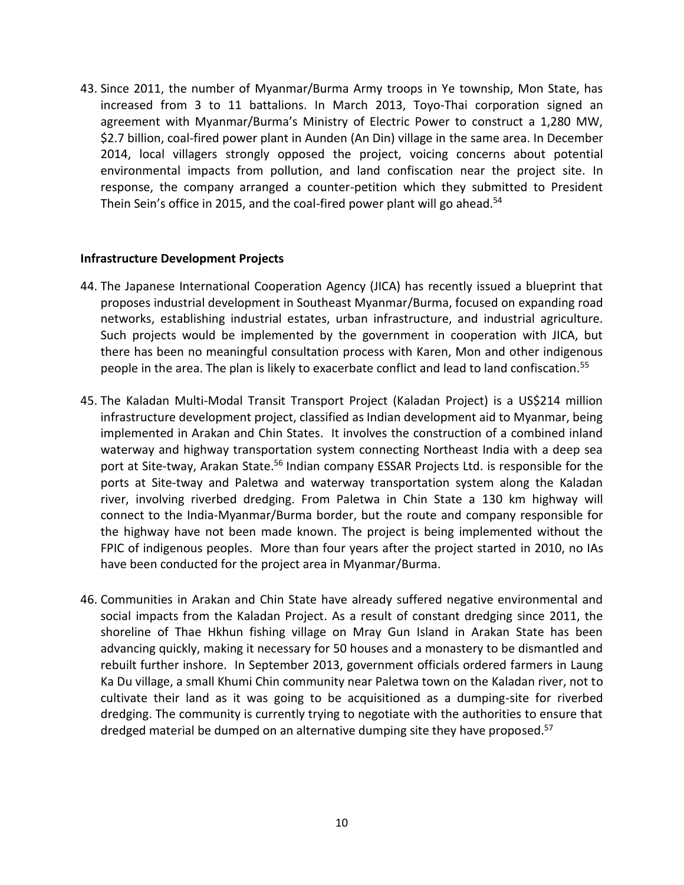43. Since 2011, the number of Myanmar/Burma Army troops in Ye township, Mon State, has increased from 3 to 11 battalions. In March 2013, Toyo-Thai corporation signed an agreement with Myanmar/Burma's Ministry of Electric Power to construct a 1,280 MW, \$2.7 billion, coal-fired power plant in Aunden (An Din) village in the same area. In December 2014, local villagers strongly opposed the project, voicing concerns about potential environmental impacts from pollution, and land confiscation near the project site. In response, the company arranged a counter-petition which they submitted to President Thein Sein's office in 2015, and the coal-fired power plant will go ahead.<sup>54</sup>

#### **Infrastructure Development Projects**

- 44. The Japanese International Cooperation Agency (JICA) has recently issued a blueprint that proposes industrial development in Southeast Myanmar/Burma, focused on expanding road networks, establishing industrial estates, urban infrastructure, and industrial agriculture. Such projects would be implemented by the government in cooperation with JICA, but there has been no meaningful consultation process with Karen, Mon and other indigenous people in the area. The plan is likely to exacerbate conflict and lead to land confiscation.<sup>55</sup>
- 45. The Kaladan Multi-Modal Transit Transport Project (Kaladan Project) is a US\$214 million infrastructure development project, classified as Indian development aid to Myanmar, being implemented in Arakan and Chin States. It involves the construction of a combined inland waterway and highway transportation system connecting Northeast India with a deep sea port at Site-tway, Arakan State.<sup>56</sup> Indian company ESSAR Projects Ltd. is responsible for the ports at Site-tway and Paletwa and waterway transportation system along the Kaladan river, involving riverbed dredging. From Paletwa in Chin State a 130 km highway will connect to the India-Myanmar/Burma border, but the route and company responsible for the highway have not been made known. The project is being implemented without the FPIC of indigenous peoples. More than four years after the project started in 2010, no IAs have been conducted for the project area in Myanmar/Burma.
- 46. Communities in Arakan and Chin State have already suffered negative environmental and social impacts from the Kaladan Project. As a result of constant dredging since 2011, the shoreline of Thae Hkhun fishing village on Mray Gun Island in Arakan State has been advancing quickly, making it necessary for 50 houses and a monastery to be dismantled and rebuilt further inshore. In September 2013, government officials ordered farmers in Laung Ka Du village, a small Khumi Chin community near Paletwa town on the Kaladan river, not to cultivate their land as it was going to be acquisitioned as a dumping-site for riverbed dredging. The community is currently trying to negotiate with the authorities to ensure that dredged material be dumped on an alternative dumping site they have proposed.<sup>57</sup>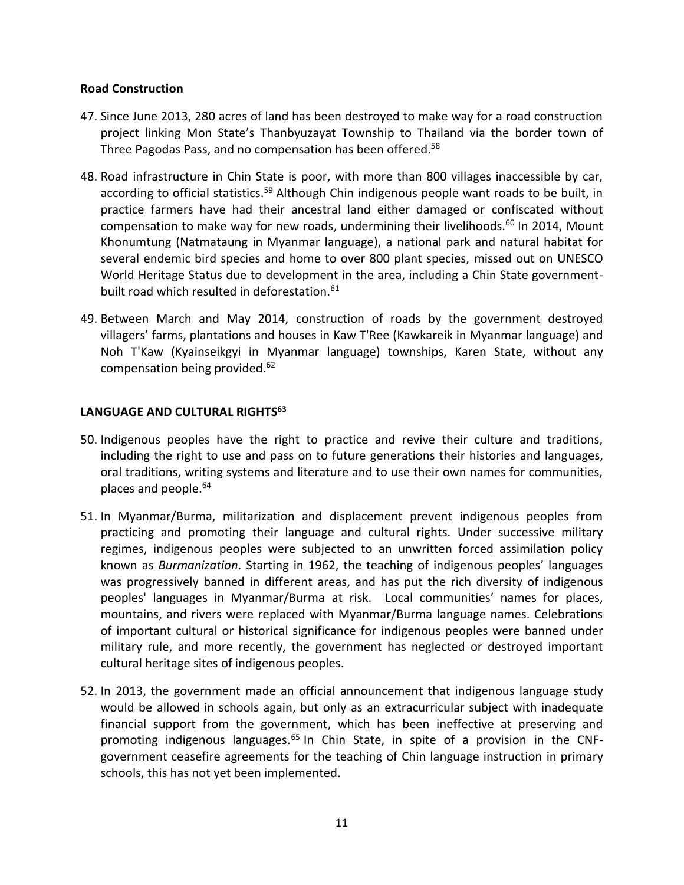### **Road Construction**

- 47. Since June 2013, 280 acres of land has been destroyed to make way for a road construction project linking Mon State's Thanbyuzayat Township to Thailand via the border town of Three Pagodas Pass, and no compensation has been offered.<sup>58</sup>
- 48. Road infrastructure in Chin State is poor, with more than 800 villages inaccessible by car, according to official statistics.<sup>59</sup> Although Chin indigenous people want roads to be built, in practice farmers have had their ancestral land either damaged or confiscated without compensation to make way for new roads, undermining their livelihoods. $60$  In 2014, Mount Khonumtung (Natmataung in Myanmar language), a national park and natural habitat for several endemic bird species and home to over 800 plant species, missed out on UNESCO World Heritage Status due to development in the area, including a Chin State governmentbuilt road which resulted in deforestation.<sup>61</sup>
- 49. Between March and May 2014, construction of roads by the government destroyed villagers' farms, plantations and houses in Kaw T'Ree (Kawkareik in Myanmar language) and Noh T'Kaw (Kyainseikgyi in Myanmar language) townships, Karen State, without any compensation being provided.<sup>62</sup>

# **LANGUAGE AND CULTURAL RIGHTS<sup>63</sup>**

- 50. Indigenous peoples have the right to practice and revive their culture and traditions, including the right to use and pass on to future generations their histories and languages, oral traditions, writing systems and literature and to use their own names for communities, places and people.<sup>64</sup>
- 51. In Myanmar/Burma, militarization and displacement prevent indigenous peoples from practicing and promoting their language and cultural rights. Under successive military regimes, indigenous peoples were subjected to an unwritten forced assimilation policy known as *Burmanization*. Starting in 1962, the teaching of indigenous peoples' languages was progressively banned in different areas, and has put the rich diversity of indigenous peoples' languages in Myanmar/Burma at risk. Local communities' names for places, mountains, and rivers were replaced with Myanmar/Burma language names. Celebrations of important cultural or historical significance for indigenous peoples were banned under military rule, and more recently, the government has neglected or destroyed important cultural heritage sites of indigenous peoples.
- 52. In 2013, the government made an official announcement that indigenous language study would be allowed in schools again, but only as an extracurricular subject with inadequate financial support from the government, which has been ineffective at preserving and promoting indigenous languages.<sup>65</sup> In Chin State, in spite of a provision in the CNFgovernment ceasefire agreements for the teaching of Chin language instruction in primary schools, this has not yet been implemented.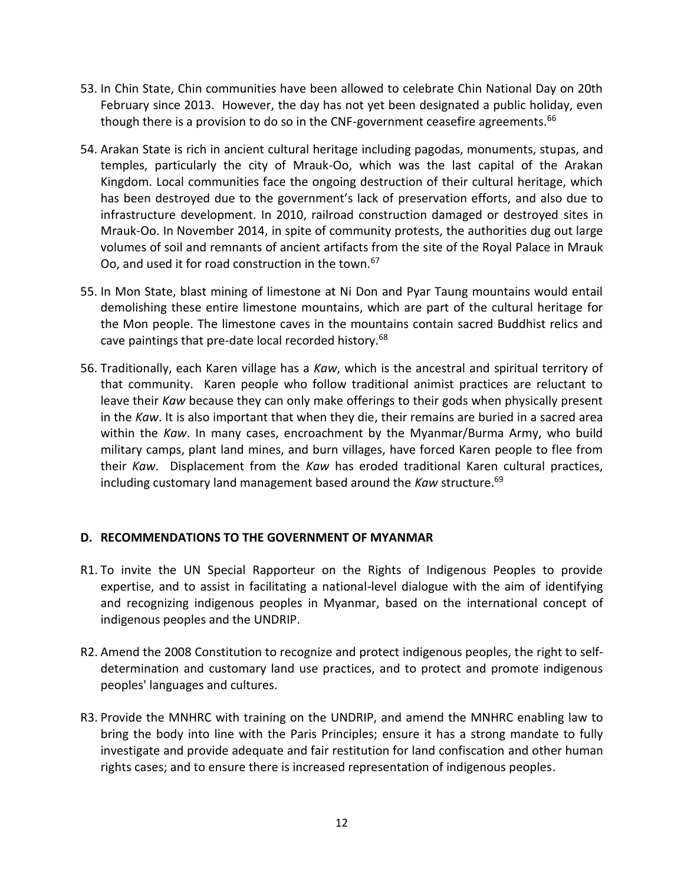- 53. In Chin State, Chin communities have been allowed to celebrate Chin National Day on 20th February since 2013. However, the day has not yet been designated a public holiday, even though there is a provision to do so in the CNF-government ceasefire agreements.<sup>66</sup>
- 54. Arakan State is rich in ancient cultural heritage including pagodas, monuments, stupas, and temples, particularly the city of Mrauk-Oo, which was the last capital of the Arakan Kingdom. Local communities face the ongoing destruction of their cultural heritage, which has been destroyed due to the government's lack of preservation efforts, and also due to infrastructure development. In 2010, railroad construction damaged or destroyed sites in Mrauk-Oo. In November 2014, in spite of community protests, the authorities dug out large volumes of soil and remnants of ancient artifacts from the site of the Royal Palace in Mrauk Oo, and used it for road construction in the town.<sup>67</sup>
- 55. In Mon State, blast mining of limestone at Ni Don and Pyar Taung mountains would entail demolishing these entire limestone mountains, which are part of the cultural heritage for the Mon people. The limestone caves in the mountains contain sacred Buddhist relics and cave paintings that pre-date local recorded history.<sup>68</sup>
- 56. Traditionally, each Karen village has a *Kaw*, which is the ancestral and spiritual territory of that community. Karen people who follow traditional animist practices are reluctant to leave their *Kaw* because they can only make offerings to their gods when physically present in the *Kaw*. It is also important that when they die, their remains are buried in a sacred area within the *Kaw*. In many cases, encroachment by the Myanmar/Burma Army, who build military camps, plant land mines, and burn villages, have forced Karen people to flee from their *Kaw*. Displacement from the *Kaw* has eroded traditional Karen cultural practices, including customary land management based around the *Kaw* structure.<sup>69</sup>

# **D. RECOMMENDATIONS TO THE GOVERNMENT OF MYANMAR**

- R1. To invite the UN Special Rapporteur on the Rights of Indigenous Peoples to provide expertise, and to assist in facilitating a national-level dialogue with the aim of identifying and recognizing indigenous peoples in Myanmar, based on the international concept of indigenous peoples and the UNDRIP.
- R2. Amend the 2008 Constitution to recognize and protect indigenous peoples, the right to selfdetermination and customary land use practices, and to protect and promote indigenous peoples' languages and cultures.
- R3. Provide the MNHRC with training on the UNDRIP, and amend the MNHRC enabling law to bring the body into line with the Paris Principles; ensure it has a strong mandate to fully investigate and provide adequate and fair restitution for land confiscation and other human rights cases; and to ensure there is increased representation of indigenous peoples.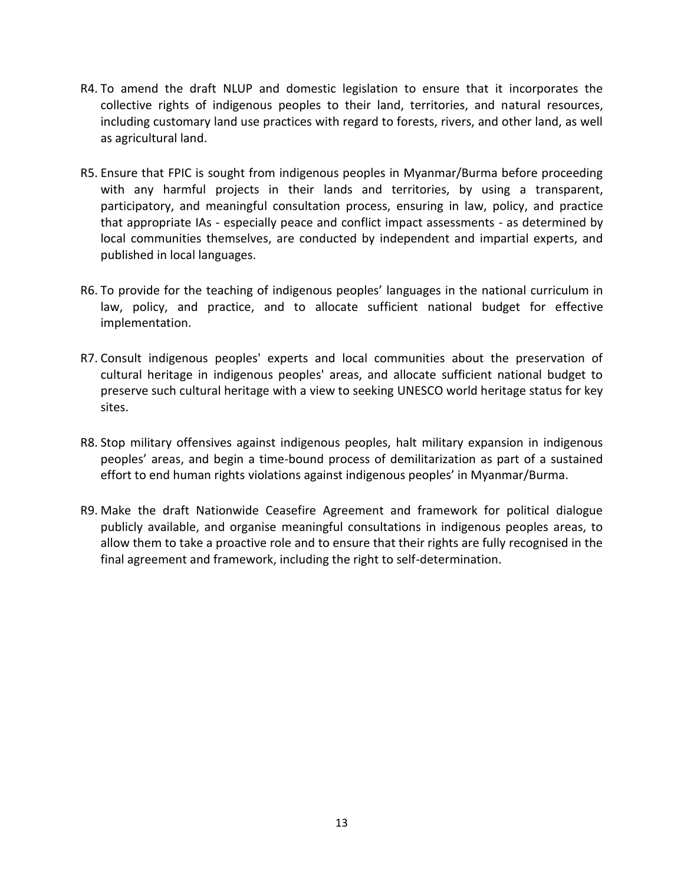- R4. To amend the draft NLUP and domestic legislation to ensure that it incorporates the collective rights of indigenous peoples to their land, territories, and natural resources, including customary land use practices with regard to forests, rivers, and other land, as well as agricultural land.
- R5. Ensure that FPIC is sought from indigenous peoples in Myanmar/Burma before proceeding with any harmful projects in their lands and territories, by using a transparent, participatory, and meaningful consultation process, ensuring in law, policy, and practice that appropriate IAs - especially peace and conflict impact assessments - as determined by local communities themselves, are conducted by independent and impartial experts, and published in local languages.
- R6. To provide for the teaching of indigenous peoples' languages in the national curriculum in law, policy, and practice, and to allocate sufficient national budget for effective implementation.
- R7. Consult indigenous peoples' experts and local communities about the preservation of cultural heritage in indigenous peoples' areas, and allocate sufficient national budget to preserve such cultural heritage with a view to seeking UNESCO world heritage status for key sites.
- R8. Stop military offensives against indigenous peoples, halt military expansion in indigenous peoples' areas, and begin a time-bound process of demilitarization as part of a sustained effort to end human rights violations against indigenous peoples' in Myanmar/Burma.
- R9. Make the draft Nationwide Ceasefire Agreement and framework for political dialogue publicly available, and organise meaningful consultations in indigenous peoples areas, to allow them to take a proactive role and to ensure that their rights are fully recognised in the final agreement and framework, including the right to self-determination.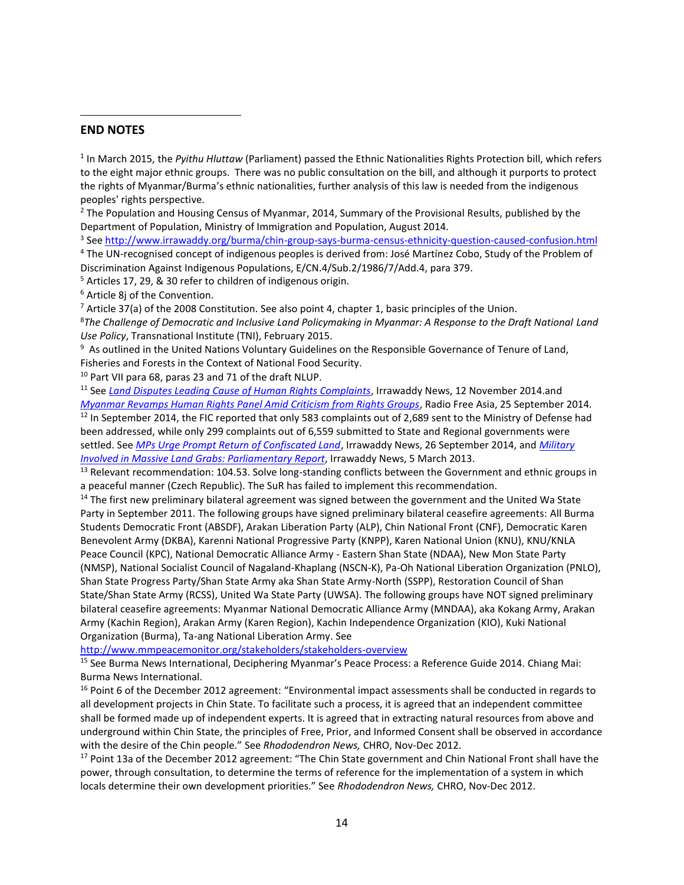#### **END NOTES**

l

1 In March 2015, the *Pyithu Hluttaw* (Parliament) passed the Ethnic Nationalities Rights Protection bill, which refers to the eight major ethnic groups. There was no public consultation on the bill, and although it purports to protect the rights of Myanmar/Burma's ethnic nationalities, further analysis of this law is needed from the indigenous peoples' rights perspective.

<sup>2</sup> The Population and Housing Census of Myanmar, 2014, Summary of the Provisional Results, published by the Department of Population, Ministry of Immigration and Population, August 2014.

<sup>3</sup> See <u>http://www.irrawaddy.org/burma/chin-group-says-burma-census-ethnicity-question-caused-confusion.html</u> <sup>4</sup> The UN-recognised concept of indigenous peoples is derived from: José Martínez Cobo, Study of the Problem of

Discrimination Against Indigenous Populations, E/CN.4/Sub.2/1986/7/Add.4, para 379.

<sup>5</sup> Articles 17, 29, & 30 refer to children of indigenous origin.

<sup>6</sup> Article 8j of the Convention.

 $7$  Article 37(a) of the 2008 Constitution. See also point 4, chapter 1, basic principles of the Union.

<sup>8</sup>*The Challenge of Democratic and Inclusive Land Policymaking in Myanmar: A Response to the Draft National Land Use Policy*, Transnational Institute (TNI), February 2015.

<sup>9</sup> As outlined in the United Nations Voluntary Guidelines on the Responsible Governance of Tenure of Land, Fisheries and Forests in the Context of National Food Security.

<sup>10</sup> Part VII para 68, paras 23 and 71 of the draft NLUP.

<sup>11</sup> See *[Land Disputes Leading Cause of Human Rights Complaints](http://www.irrawaddy.org/burma/land-disputes-leading-cause-human-rights-complaints.html)*, Irrawaddy News, 12 November 2014.and *[Myanmar Revamps Human Rights Panel Amid Criticism from Rights Groups](http://www.rfa.org/english/news/myanmar/commission-09252014174739.html)*, Radio Free Asia, 25 September 2014. <sup>12</sup> In September 2014, the FIC reported that only 583 complaints out of 2,689 sent to the Ministry of Defense had been addressed, while only 299 complaints out of 6,559 submitted to State and Regional governments were settled. See *[MPs Urge Prompt Return of Confiscated Land](http://www.irrawaddy.org/burma/mps-urge-prompt-return-confiscated-land.html)*, Irrawaddy News, 26 September 2014, and *[Military](http://www.irrawaddy.org/human-rights/military-involved-in-massive-land-grabs-parliamentary-report.html)  [Involved in Massive Land Grabs: Parliamentary Report](http://www.irrawaddy.org/human-rights/military-involved-in-massive-land-grabs-parliamentary-report.html)*, Irrawaddy News, 5 March 2013.

<sup>13</sup> Relevant recommendation: 104.53. Solve long-standing conflicts between the Government and ethnic groups in a peaceful manner (Czech Republic). The SuR has failed to implement this recommendation.

<sup>14</sup> The first new preliminary bilateral agreement was signed between the government and the United Wa State Party in September 2011. The following groups have signed preliminary bilateral ceasefire agreements: All Burma Students Democratic Front (ABSDF), Arakan Liberation Party (ALP), Chin National Front (CNF), Democratic Karen Benevolent Army (DKBA), Karenni National Progressive Party (KNPP), Karen National Union (KNU), KNU/KNLA Peace Council (KPC), National Democratic Alliance Army - Eastern Shan State (NDAA), New Mon State Party (NMSP), National Socialist Council of Nagaland-Khaplang (NSCN-K), Pa-Oh National Liberation Organization (PNLO), Shan State Progress Party/Shan State Army aka Shan State Army-North (SSPP), Restoration Council of Shan State/Shan State Army (RCSS), United Wa State Party (UWSA). The following groups have NOT signed preliminary bilateral ceasefire agreements: Myanmar National Democratic Alliance Army (MNDAA), aka Kokang Army, Arakan Army (Kachin Region), Arakan Army (Karen Region), Kachin Independence Organization (KIO), Kuki National Organization (Burma), Ta-ang National Liberation Army. See

<http://www.mmpeacemonitor.org/stakeholders/stakeholders-overview>

<sup>15</sup> See Burma News International, Deciphering Myanmar's Peace Process: a Reference Guide 2014. Chiang Mai: Burma News International.

<sup>16</sup> Point 6 of the December 2012 agreement: "Environmental impact assessments shall be conducted in regards to all development projects in Chin State. To facilitate such a process, it is agreed that an independent committee shall be formed made up of independent experts. It is agreed that in extracting natural resources from above and underground within Chin State, the principles of Free, Prior, and Informed Consent shall be observed in accordance with the desire of the Chin people." See *Rhododendron News,* CHRO, Nov-Dec 2012.

<sup>17</sup> Point 13a of the December 2012 agreement: "The Chin State government and Chin National Front shall have the power, through consultation, to determine the terms of reference for the implementation of a system in which locals determine their own development priorities." See *Rhododendron News,* CHRO, Nov-Dec 2012.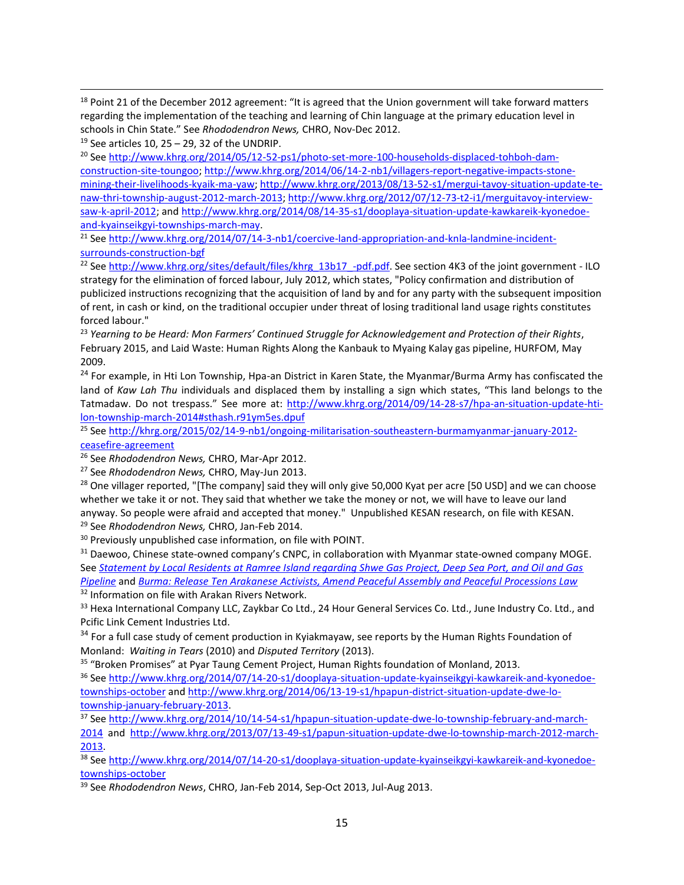<sup>18</sup> Point 21 of the December 2012 agreement: "It is agreed that the Union government will take forward matters regarding the implementation of the teaching and learning of Chin language at the primary education level in schools in Chin State." See *Rhododendron News,* CHRO, Nov-Dec 2012.

 $19$  See articles 10, 25 – 29, 32 of the UNDRIP.

 $\overline{\phantom{a}}$ 

<sup>20</sup> Se[e http://www.khrg.org/2014/05/12-52-ps1/photo-set-more-100-households-displaced-tohboh-dam](http://www.khrg.org/2014/05/12-52-ps1/photo-set-more-100-households-displaced-tohboh-dam-construction-site-toungoo)[construction-site-toungoo;](http://www.khrg.org/2014/05/12-52-ps1/photo-set-more-100-households-displaced-tohboh-dam-construction-site-toungoo) [http://www.khrg.org/2014/06/14-2-nb1/villagers-report-negative-impacts-stone](http://www.khrg.org/2014/06/14-2-nb1/villagers-report-negative-impacts-stone-mining-their-livelihoods-kyaik-ma-yaw)[mining-their-livelihoods-kyaik-ma-yaw;](http://www.khrg.org/2014/06/14-2-nb1/villagers-report-negative-impacts-stone-mining-their-livelihoods-kyaik-ma-yaw) [http://www.khrg.org/2013/08/13-52-s1/mergui-tavoy-situation-update-te](http://www.khrg.org/2013/08/13-52-s1/mergui-tavoy-situation-update-te-naw-thri-township-august-2012-march-2013)[naw-thri-township-august-2012-march-2013;](http://www.khrg.org/2013/08/13-52-s1/mergui-tavoy-situation-update-te-naw-thri-township-august-2012-march-2013) [http://www.khrg.org/2012/07/12-73-t2-i1/merguitavoy-interview](http://www.khrg.org/2012/07/12-73-t2-i1/merguitavoy-interview-saw-k-april-2012)[saw-k-april-2012;](http://www.khrg.org/2012/07/12-73-t2-i1/merguitavoy-interview-saw-k-april-2012) an[d http://www.khrg.org/2014/08/14-35-s1/dooplaya-situation-update-kawkareik-kyonedoe](http://www.khrg.org/2014/08/14-35-s1/dooplaya-situation-update-kawkareik-kyonedoe-and-kyainseikgyi-townships-march-may)[and-kyainseikgyi-townships-march-may.](http://www.khrg.org/2014/08/14-35-s1/dooplaya-situation-update-kawkareik-kyonedoe-and-kyainseikgyi-townships-march-may)

<sup>21</sup> Se[e http://www.khrg.org/2014/07/14-3-nb1/coercive-land-appropriation-and-knla-landmine-incident](http://www.khrg.org/2014/07/14-3-nb1/coercive-land-appropriation-and-knla-landmine-incident-surrounds-construction-bgf)[surrounds-construction-bgf](http://www.khrg.org/2014/07/14-3-nb1/coercive-land-appropriation-and-knla-landmine-incident-surrounds-construction-bgf)

<sup>22</sup> Se[e http://www.khrg.org/sites/default/files/khrg\\_13b17\\_-pdf.pdf.](http://www.khrg.org/sites/default/files/khrg_13b17_-pdf.pdf) See section 4K3 of the joint government - ILO strategy for the elimination of forced labour, July 2012, which states, "Policy confirmation and distribution of publicized instructions recognizing that the acquisition of land by and for any party with the subsequent imposition of rent, in cash or kind, on the traditional occupier under threat of losing traditional land usage rights constitutes forced labour."

<sup>23</sup> *Yearning to be Heard: Mon Farmers' Continued Struggle for Acknowledgement and Protection of their Rights*, February 2015, and Laid Waste: Human Rights Along the Kanbauk to Myaing Kalay gas pipeline, HURFOM, May 2009.

<sup>24</sup> For example, in Hti Lon Township, Hpa-an District in Karen State, the Myanmar/Burma Army has confiscated the land of *Kaw Lah Thu* individuals and displaced them by installing a sign which states, "This land belongs to the Tatmadaw. Do not trespass." See more at: [http://www.khrg.org/2014/09/14-28-s7/hpa-an-situation-update-hti](http://www.khrg.org/2014/09/14-28-s7/hpa-an-situation-update-hti-lon-township-march-2014#sthash.r91ym5es.dpuf)[lon-township-march-2014#sthash.r91ym5es.dpuf](http://www.khrg.org/2014/09/14-28-s7/hpa-an-situation-update-hti-lon-township-march-2014#sthash.r91ym5es.dpuf)

<sup>25</sup> Se[e http://khrg.org/2015/02/14-9-nb1/ongoing-militarisation-southeastern-burmamyanmar-january-2012](http://khrg.org/2015/02/14-9-nb1/ongoing-militarisation-southeastern-burmamyanmar-january-2012-ceasefire-agreement) [ceasefire-agreement](http://khrg.org/2015/02/14-9-nb1/ongoing-militarisation-southeastern-burmamyanmar-january-2012-ceasefire-agreement)

<sup>26</sup> See *Rhododendron News,* CHRO, Mar-Apr 2012.

<sup>27</sup> See *Rhododendron News,* CHRO, May-Jun 2013.

<sup>28</sup> One villager reported, "[The company] said they will only give 50,000 Kyat per acre [50 USD] and we can choose whether we take it or not. They said that whether we take the money or not, we will have to leave our land anyway. So people were afraid and accepted that money." Unpublished KESAN research, on file with KESAN.

<sup>29</sup> See *Rhododendron News,* CHRO, Jan-Feb 2014.

<sup>30</sup> Previously unpublished case information, on file with POINT.

<sup>31</sup> Daewoo, Chinese state-owned company's CNPC, in collaboration with Myanmar state-owned company MOGE. See *[Statement by Local Residents at Ramree Island regarding Shwe Gas Project, Deep Sea Port, and Oil and Gas](http://www.burmalibrary.org/docs15/Ramree_Oil_and_Gas_Statement-en.pdf)  [Pipeline](http://www.burmalibrary.org/docs15/Ramree_Oil_and_Gas_Statement-en.pdf)* and *[Burma: Release Ten Arakanese Activists, Amend Peaceful Assembly and Peaceful Processions Law](http://www.shwe.org/burma-release-ten-arakanese-activists-amend-peaceful-assembly-and-peaceful-processions-law/)*

<sup>32</sup> Information on file with Arakan Rivers Network.

33 Hexa International Company LLC, Zaykbar Co Ltd., 24 Hour General Services Co. Ltd., June Industry Co. Ltd., and Pcific Link Cement Industries Ltd.

<sup>34</sup> For a full case study of cement production in Kyiakmayaw, see reports by the Human Rights Foundation of Monland: *Waiting in Tears* (2010) and *Disputed Territory* (2013).

<sup>35</sup> "Broken Promises" at Pyar Taung Cement Project, Human Rights foundation of Monland, 2013.

<sup>36</sup> Se[e http://www.khrg.org/2014/07/14-20-s1/dooplaya-situation-update-kyainseikgyi-kawkareik-and-kyonedoe](http://www.khrg.org/2014/07/14-20-s1/dooplaya-situation-update-kyainseikgyi-kawkareik-and-kyonedoe-townships-october)[townships-october](http://www.khrg.org/2014/07/14-20-s1/dooplaya-situation-update-kyainseikgyi-kawkareik-and-kyonedoe-townships-october) an[d http://www.khrg.org/2014/06/13-19-s1/hpapun-district-situation-update-dwe-lo](http://www.khrg.org/2014/06/13-19-s1/hpapun-district-situation-update-dwe-lo-township-january-february-2013)[township-january-february-2013.](http://www.khrg.org/2014/06/13-19-s1/hpapun-district-situation-update-dwe-lo-township-january-february-2013)

<sup>37</sup> Se[e http://www.khrg.org/2014/10/14-54-s1/hpapun-situation-update-dwe-lo-township-february-and-march-](http://www.khrg.org/2014/10/14-54-s1/hpapun-situation-update-dwe-lo-township-february-and-march-2014)[2014](http://www.khrg.org/2014/10/14-54-s1/hpapun-situation-update-dwe-lo-township-february-and-march-2014) and [http://www.khrg.org/2013/07/13-49-s1/papun-situation-update-dwe-lo-township-march-2012-march-](http://www.khrg.org/2013/07/13-49-s1/papun-situation-update-dwe-lo-township-march-2012-march-2013)[2013.](http://www.khrg.org/2013/07/13-49-s1/papun-situation-update-dwe-lo-township-march-2012-march-2013) 

<sup>38</sup> Se[e http://www.khrg.org/2014/07/14-20-s1/dooplaya-situation-update-kyainseikgyi-kawkareik-and-kyonedoe](http://www.khrg.org/2014/07/14-20-s1/dooplaya-situation-update-kyainseikgyi-kawkareik-and-kyonedoe-townships-october)[townships-october](http://www.khrg.org/2014/07/14-20-s1/dooplaya-situation-update-kyainseikgyi-kawkareik-and-kyonedoe-townships-october)

<sup>39</sup> See *Rhododendron News*, CHRO, Jan-Feb 2014, Sep-Oct 2013, Jul-Aug 2013.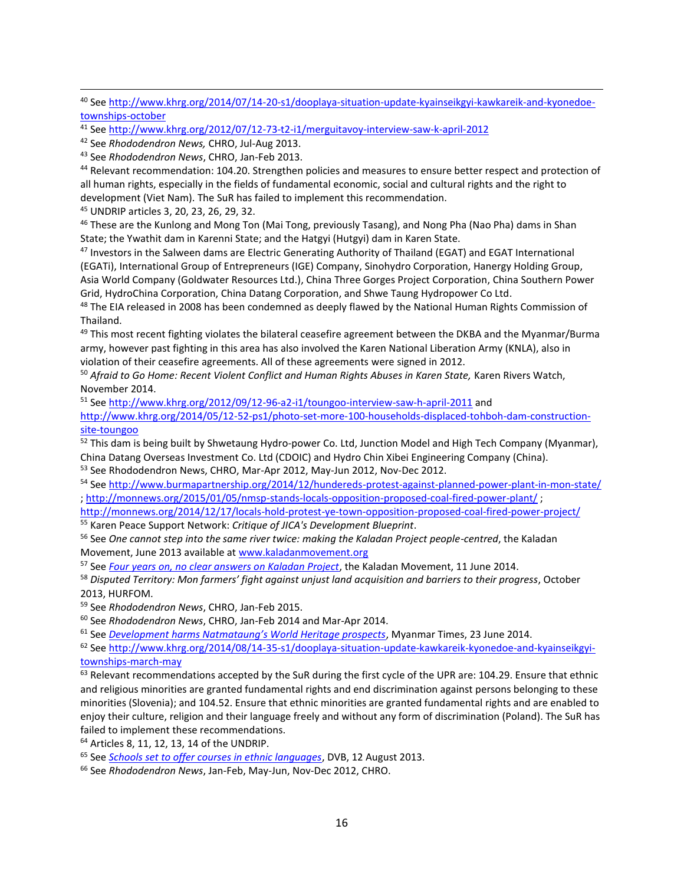<sup>43</sup> See *Rhododendron News*, CHRO, Jan-Feb 2013.

<sup>44</sup> Relevant recommendation: 104.20. Strengthen policies and measures to ensure better respect and protection of all human rights, especially in the fields of fundamental economic, social and cultural rights and the right to development (Viet Nam). The SuR has failed to implement this recommendation.

<sup>45</sup> UNDRIP articles 3, 20, 23, 26, 29, 32.

 $\overline{\phantom{a}}$ 

<sup>46</sup> These are the Kunlong and Mong Ton (Mai Tong, previously Tasang), and Nong Pha (Nao Pha) dams in Shan State; the Ywathit dam in Karenni State; and the Hatgyi (Hutgyi) dam in Karen State.

47 Investors in the Salween dams are Electric Generating Authority of Thailand (EGAT) and EGAT International (EGATi), International Group of Entrepreneurs (IGE) Company, Sinohydro Corporation, Hanergy Holding Group, Asia World Company (Goldwater Resources Ltd.), China Three Gorges Project Corporation, China Southern Power Grid, HydroChina Corporation, China Datang Corporation, and Shwe Taung Hydropower Co Ltd.

<sup>48</sup> The EIA released in 2008 has been condemned as deeply flawed by the National Human Rights Commission of Thailand.

<sup>49</sup> This most recent fighting violates the bilateral ceasefire agreement between the DKBA and the Myanmar/Burma army, however past fighting in this area has also involved the Karen National Liberation Army (KNLA), also in violation of their ceasefire agreements. All of these agreements were signed in 2012.

<sup>50</sup> *Afraid to Go Home: Recent Violent Conflict and Human Rights Abuses in Karen State,* Karen Rivers Watch, November 2014.

<sup>51</sup> Se[e http://www.khrg.org/2012/09/12-96-a2-i1/toungoo-interview-saw-h-april-2011](http://www.khrg.org/2012/09/12-96-a2-i1/toungoo-interview-saw-h-april-2011) and

[http://www.khrg.org/2014/05/12-52-ps1/photo-set-more-100-households-displaced-tohboh-dam-construction](http://www.khrg.org/2014/05/12-52-ps1/photo-set-more-100-households-displaced-tohboh-dam-construction-site-toungoo)[site-toungoo](http://www.khrg.org/2014/05/12-52-ps1/photo-set-more-100-households-displaced-tohboh-dam-construction-site-toungoo)

52 This dam is being built by Shwetaung Hydro-power Co. Ltd, Junction Model and High Tech Company (Myanmar), China Datang Overseas Investment Co. Ltd (CDOIC) and Hydro Chin Xibei Engineering Company (China).

<sup>53</sup> See Rhododendron News, CHRO, Mar-Apr 2012, May-Jun 2012, Nov-Dec 2012.

<sup>54</sup> Se[e http://www.burmapartnership.org/2014/12/hundereds-protest-against-planned-power-plant-in-mon-state/](http://www.burmapartnership.org/2014/12/hundereds-protest-against-planned-power-plant-in-mon-state/) ;<http://monnews.org/2015/01/05/nmsp-stands-locals-opposition-proposed-coal-fired-power-plant/> ;

<http://monnews.org/2014/12/17/locals-hold-protest-ye-town-opposition-proposed-coal-fired-power-project/> <sup>55</sup> Karen Peace Support Network: *Critique of JICA's Development Blueprint*.

<sup>56</sup> See *One cannot step into the same river twice: making the Kaladan Project people-centred*, the Kaladan Movement, June 2013 available at [www.kaladanmovement.org](http://www.kaladanmovement.org/)

<sup>57</sup> See *[Four years on, no clear answers on Kaladan Project](http://kaladanmovement.org/)*, the Kaladan Movement, 11 June 2014.

<sup>58</sup> *Disputed Territory: Mon farmers' fight against unjust land acquisition and barriers to their progress*, October

2013, HURFOM.

<sup>59</sup> See *Rhododendron News*, CHRO, Jan-Feb 2015.

<sup>60</sup> See *Rhododendron News*, CHRO, Jan-Feb 2014 and Mar-Apr 2014.

<sup>61</sup> See *[Development harms Natmataung's World Heritage prospects](http://www.mmtimes.com/index.php/national-news/10786-development-harms-natmataung-s-world-heritage-prospects.html)*, Myanmar Times, 23 June 2014.

<sup>62</sup> Se[e http://www.khrg.org/2014/08/14-35-s1/dooplaya-situation-update-kawkareik-kyonedoe-and-kyainseikgyi](http://www.khrg.org/2014/08/14-35-s1/dooplaya-situation-update-kawkareik-kyonedoe-and-kyainseikgyi-townships-march-may)[townships-march-may](http://www.khrg.org/2014/08/14-35-s1/dooplaya-situation-update-kawkareik-kyonedoe-and-kyainseikgyi-townships-march-may)

 $63$  Relevant recommendations accepted by the SuR during the first cycle of the UPR are: 104.29. Ensure that ethnic and religious minorities are granted fundamental rights and end discrimination against persons belonging to these minorities (Slovenia); and 104.52. Ensure that ethnic minorities are granted fundamental rights and are enabled to enjoy their culture, religion and their language freely and without any form of discrimination (Poland). The SuR has failed to implement these recommendations.

<sup>64</sup> Articles 8, 11, 12, 13, 14 of the UNDRIP.

<sup>65</sup> See *[Schools set to offer courses in ethnic languages](https://www.dvb.no/dvb-video/schools-set-to-offer-courses-in-ethnic-languages/31463)*, DVB, 12 August 2013.

<sup>66</sup> See *Rhododendron News*, Jan-Feb, May-Jun, Nov-Dec 2012, CHRO.

<sup>40</sup> Se[e http://www.khrg.org/2014/07/14-20-s1/dooplaya-situation-update-kyainseikgyi-kawkareik-and-kyonedoe](http://www.khrg.org/2014/07/14-20-s1/dooplaya-situation-update-kyainseikgyi-kawkareik-and-kyonedoe-townships-october)[townships-october](http://www.khrg.org/2014/07/14-20-s1/dooplaya-situation-update-kyainseikgyi-kawkareik-and-kyonedoe-townships-october)

<sup>41</sup> Se[e http://www.khrg.org/2012/07/12-73-t2-i1/merguitavoy-interview-saw-k-april-2012](http://www.khrg.org/2012/07/12-73-t2-i1/merguitavoy-interview-saw-k-april-2012)

<sup>42</sup> See *Rhododendron News,* CHRO, Jul-Aug 2013.